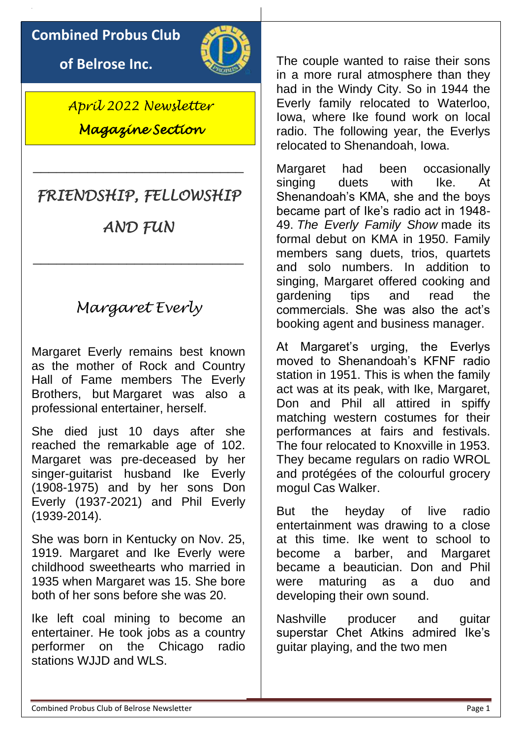### **Combined Probus Club**

**of Belrose Inc.**



*April 2022 Newsletter Magazine Section* 

# *FRIENDSHIP, FELLOWSHIP*

\_\_\_\_\_\_\_\_\_\_\_\_\_\_\_\_\_\_\_\_\_\_\_\_\_\_\_

*AND FUN* 

\_\_\_\_\_\_\_\_\_\_\_\_\_\_\_\_\_\_\_\_\_\_\_\_\_\_\_

# *Margaret Everly*

Margaret Everly remains best known as the mother of Rock and Country Hall of Fame members The Everly Brothers, but Margaret was also a professional entertainer, herself.

She died just 10 days after she reached the remarkable age of 102. Margaret was pre-deceased by her singer-guitarist husband Ike Everly (1908-1975) and by her sons Don Everly (1937-2021) and Phil Everly (1939-2014).

She was born in Kentucky on Nov. 25, 1919. Margaret and Ike Everly were childhood sweethearts who married in 1935 when Margaret was 15. She bore both of her sons before she was 20.

Ike left coal mining to become an entertainer. He took jobs as a country performer on the Chicago radio stations WJJD and WLS.

The couple wanted to raise their sons in a more rural atmosphere than they had in the Windy City. So in 1944 the Everly family relocated to Waterloo, Iowa, where Ike found work on local radio. The following year, the Everlys relocated to Shenandoah, Iowa.

Margaret had been occasionally singing duets with Ike. At Shenandoah's KMA, she and the boys became part of Ike's radio act in 1948- 49. *The Everly Family Show* made its formal debut on KMA in 1950. Family members sang duets, trios, quartets and solo numbers. In addition to singing, Margaret offered cooking and gardening tips and read the commercials. She was also the act's booking agent and business manager.

At Margaret's urging, the Everlys moved to Shenandoah's KFNF radio station in 1951. This is when the family act was at its peak, with Ike, Margaret, Don and Phil all attired in spiffy matching western costumes for their performances at fairs and festivals. The four relocated to Knoxville in 1953. They became regulars on radio WROL and protégées of the colourful grocery mogul Cas Walker.

But the heyday of live radio entertainment was drawing to a close at this time. Ike went to school to become a barber, and Margaret became a beautician. Don and Phil were maturing as a duo and developing their own sound.

Nashville producer and guitar superstar Chet Atkins admired Ike's guitar playing, and the two men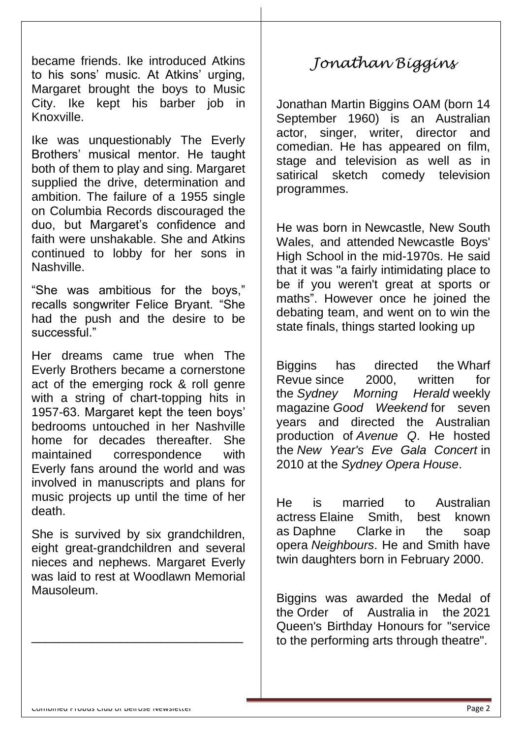became friends. Ike introduced Atkins to his sons' music. At Atkins' urging, Margaret brought the boys to Music City. Ike kept his barber job in Knoxville.

Ike was unquestionably The Everly Brothers' musical mentor. He taught both of them to play and sing. Margaret supplied the drive, determination and ambition. The failure of a 1955 single on Columbia Records discouraged the duo, but Margaret's confidence and faith were unshakable. She and Atkins continued to lobby for her sons in Nashville.

"She was ambitious for the boys," recalls songwriter Felice Bryant. "She had the push and the desire to be successful."

Her dreams came true when The Everly Brothers became a cornerstone act of the emerging rock & roll genre with a string of chart-topping hits in 1957-63. Margaret kept the teen boys' bedrooms untouched in her Nashville home for decades thereafter. She maintained correspondence with Everly fans around the world and was involved in manuscripts and plans for music projects up until the time of her death.

She is survived by six grandchildren, eight great-grandchildren and several nieces and nephews. Margaret Everly was laid to rest at Woodlawn Memorial Mausoleum.

\_\_\_\_\_\_\_\_\_\_\_\_\_\_\_\_\_\_\_\_\_\_\_\_\_\_\_\_\_\_\_

# *Jonathan Biggins*

Jonathan Martin Biggins [OAM](https://en.wikipedia.org/wiki/Medal_of_the_Order_of_Australia) (born 14 September 1960) is an Australian actor, singer, writer, director and comedian. He has appeared on film, stage and television as well as in satirical sketch comedy television programmes.

He was born in [Newcastle, New South](https://en.wikipedia.org/wiki/Newcastle,_New_South_Wales)  [Wales,](https://en.wikipedia.org/wiki/Newcastle,_New_South_Wales) and attended [Newcastle Boys'](https://en.wikipedia.org/wiki/Newcastle_Boys%27_High_School)  [High School](https://en.wikipedia.org/wiki/Newcastle_Boys%27_High_School) in the mid-1970s. He said that it was "a fairly intimidating place to be if you weren't great at sports or maths". However once he joined the debating team, and went on to win the state finals, things started looking up

Biggins has directed the [Wharf](https://en.wikipedia.org/wiki/Wharf_Revue)  [Revue](https://en.wikipedia.org/wiki/Wharf_Revue) since 2000, written for the *[Sydney Morning Herald](https://en.wikipedia.org/wiki/Sydney_Morning_Herald)* weekly magazine *[Good Weekend](https://en.wikipedia.org/wiki/Good_Weekend)* for seven years and directed the Australian production of *[Avenue Q](https://en.wikipedia.org/wiki/Avenue_Q)*. He hosted the *New Year's Eve Gala Concert* in 2010 at the *[Sydney Opera House](https://en.wikipedia.org/wiki/Sydney_Opera_House)*.

He is married to Australian actress [Elaine Smith,](https://en.wikipedia.org/wiki/Elaine_Smith_(actress)) best known as [Daphne Clarke](https://en.wikipedia.org/wiki/Daphne_Clarke) in the soap opera *[Neighbours](https://en.wikipedia.org/wiki/Neighbours)*. He and Smith have twin daughters born in February 2000.

Biggins was awarded the Medal of the [Order of Australia](https://en.wikipedia.org/wiki/Order_of_Australia) in the [2021](https://en.wikipedia.org/wiki/2021_Queen%27s_Birthday_Honours_(Australia))  [Queen's Birthday Honours](https://en.wikipedia.org/wiki/2021_Queen%27s_Birthday_Honours_(Australia)) for "service to the performing arts through theatre".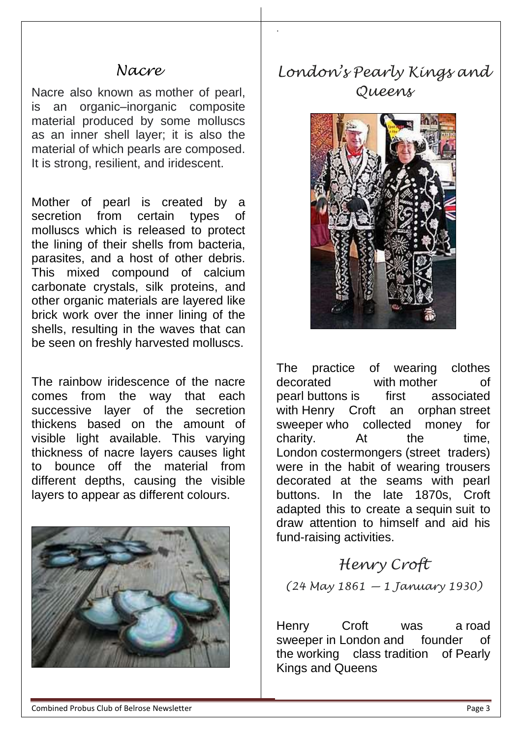### *Nacre*

Nacre also known as mother of pearl, is an organic–inorganic composite material produced by some molluscs as an inner shell layer; it is also the material of which pearls are composed. It is strong, resilient, and iridescent.

Mother of pearl is created by a secretion from certain types of molluscs which is released to protect the lining of their shells from bacteria, parasites, and a host of other debris. This mixed compound of calcium carbonate crystals, silk proteins, and other organic materials are layered like brick work over the inner lining of the shells, resulting in the waves that can be seen on freshly harvested molluscs.

The rainbow iridescence of the nacre comes from the way that each successive layer of the secretion thickens based on the amount of visible light available. This varying thickness of nacre layers causes light to bounce off the material from different depths, causing the visible layers to appear as different [colours.](https://www.jewelryshoppingguide.com/mother-of-pearl-gemstone-guide/)



## *London's Pearly Kings and Queens*

.



The practice of wearing clothes decorated with [mother](https://en.wikipedia.org/wiki/Mother-of-pearl) of [pearl](https://en.wikipedia.org/wiki/Mother-of-pearl) buttons is first associated with [Henry Croft](https://en.wikipedia.org/wiki/Henry_Croft_(pearly)) an orphan street [sweeper](https://en.wikipedia.org/wiki/Street_sweeper) who collected money for charity. At the time, London [costermongers](https://en.wikipedia.org/wiki/Costermonger) (street traders) were in the habit of wearing trousers decorated at the seams with pearl buttons. In the late 1870s, Croft adapted this to create a [sequin](https://en.wikipedia.org/wiki/Sequin) suit to draw attention to himself and aid his fund-raising activities.

### *Henry Croft*

*(24 May 1861 — 1 January 1930)*

Henry Croft was a [road](https://en.wikipedia.org/wiki/Road_sweeper)  [sweeper](https://en.wikipedia.org/wiki/Road_sweeper) in [London](https://en.wikipedia.org/wiki/London) and founder of the [working class](https://en.wikipedia.org/wiki/Working_class) tradition of [Pearly](https://en.wikipedia.org/wiki/Pearly_Kings_and_Queens)  [Kings and Queens](https://en.wikipedia.org/wiki/Pearly_Kings_and_Queens)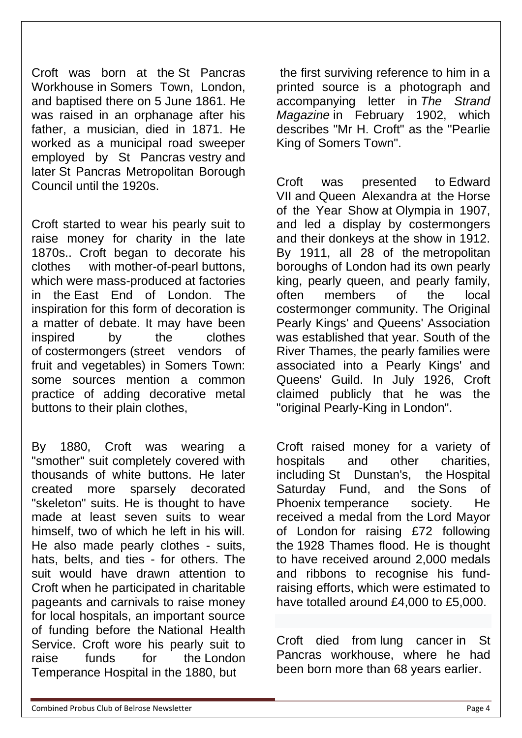Croft was born at the [St Pancras](https://en.wikipedia.org/wiki/St_Pancras_Workhouse)  [Workhouse](https://en.wikipedia.org/wiki/St_Pancras_Workhouse) in [Somers Town, London,](https://en.wikipedia.org/wiki/Somers_Town,_London) and baptised there on 5 June 1861. He was raised in an orphanage after his father, a musician, died in 1871. He worked as a municipal road sweeper employed by St Pancras [vestry](https://en.wikipedia.org/wiki/Vestry) and later [St Pancras Metropolitan Borough](https://en.wikipedia.org/wiki/St_Pancras_Metropolitan_Borough_Council)  [Council](https://en.wikipedia.org/wiki/St_Pancras_Metropolitan_Borough_Council) until the 1920s.

Croft started to wear his pearly suit to raise money for charity in the late 1870s.. Croft began to decorate his clothes with [mother-of-pearl](https://en.wikipedia.org/wiki/Mother-of-pearl) buttons, which were mass-produced at factories in the [East End of London.](https://en.wikipedia.org/wiki/East_End_of_London) The inspiration for this form of decoration is a matter of debate. It may have been inspired by the clothes of [costermongers](https://en.wikipedia.org/wiki/Costermonger) (street vendors of fruit and vegetables) in Somers Town: some sources mention a common practice of adding decorative metal buttons to their plain clothes,

By 1880, Croft was wearing a "smother" suit completely covered with thousands of white buttons. He later created more sparsely decorated "skeleton" suits. He is thought to have made at least seven suits to wear himself, two of which he left in his will. He also made pearly clothes - suits, hats, belts, and ties - for others. The suit would have drawn attention to Croft when he participated in charitable pageants and carnivals to raise money for local hospitals, an important source of funding before the [National Health](https://en.wikipedia.org/wiki/National_Health_Service)  [Service.](https://en.wikipedia.org/wiki/National_Health_Service) Croft wore his pearly suit to raise funds for the [London](https://en.wikipedia.org/wiki/London_Temperance_Hospital)  [Temperance Hospital](https://en.wikipedia.org/wiki/London_Temperance_Hospital) in the 1880, but

the first surviving reference to him in a printed source is a photograph and accompanying letter in *[The Strand](https://en.wikipedia.org/wiki/The_Strand_Magazine)  [Magazine](https://en.wikipedia.org/wiki/The_Strand_Magazine)* in February 1902, which describes "Mr H. Croft" as the "Pearlie King of Somers Town".

Croft was presented to [Edward](https://en.wikipedia.org/wiki/Edward_VII)  [VII](https://en.wikipedia.org/wiki/Edward_VII) and [Queen Alexandra](https://en.wikipedia.org/wiki/Queen_Alexandra) at the [Horse](https://en.wikipedia.org/wiki/Horse_of_the_Year_Show)  [of the Year Show](https://en.wikipedia.org/wiki/Horse_of_the_Year_Show) at [Olympia](https://en.wikipedia.org/wiki/Olympia_(London)) in 1907, and led a display by costermongers and their donkeys at the show in 1912. By 1911, all 28 of the [metropolitan](https://en.wikipedia.org/wiki/Metropolitan_boroughs_of_London)  [boroughs of London](https://en.wikipedia.org/wiki/Metropolitan_boroughs_of_London) had its own pearly king, pearly queen, and pearly family, often members of the local costermonger community. The Original Pearly Kings' and Queens' Association was established that year. South of the River Thames, the pearly families were associated into a Pearly Kings' and Queens' Guild. In July 1926, Croft claimed publicly that he was the "original Pearly-King in London".

Croft raised money for a variety of hospitals and other charities, including [St Dunstan's,](https://en.wikipedia.org/wiki/Blind_Veterans_UK) the [Hospital](https://en.wikipedia.org/w/index.php?title=Hospital_Saturday_Fund&action=edit&redlink=1)  [Saturday Fund,](https://en.wikipedia.org/w/index.php?title=Hospital_Saturday_Fund&action=edit&redlink=1) and the [Sons of](https://en.wikipedia.org/w/index.php?title=Sons_of_Phoenix&action=edit&redlink=1)  [Phoenix](https://en.wikipedia.org/w/index.php?title=Sons_of_Phoenix&action=edit&redlink=1) temperance society. He received a medal from the [Lord Mayor](https://en.wikipedia.org/wiki/Lord_Mayor_of_London)  [of London](https://en.wikipedia.org/wiki/Lord_Mayor_of_London) for raising £72 following the [1928 Thames flood.](https://en.wikipedia.org/wiki/1928_Thames_flood) He is thought to have received around 2,000 medals and ribbons to recognise his fundraising efforts, which were estimated to have totalled around £4,000 to £5,000.

Croft died from [lung cancer](https://en.wikipedia.org/wiki/Lung_cancer) in St Pancras workhouse, where he had been born more than 68 years earlier.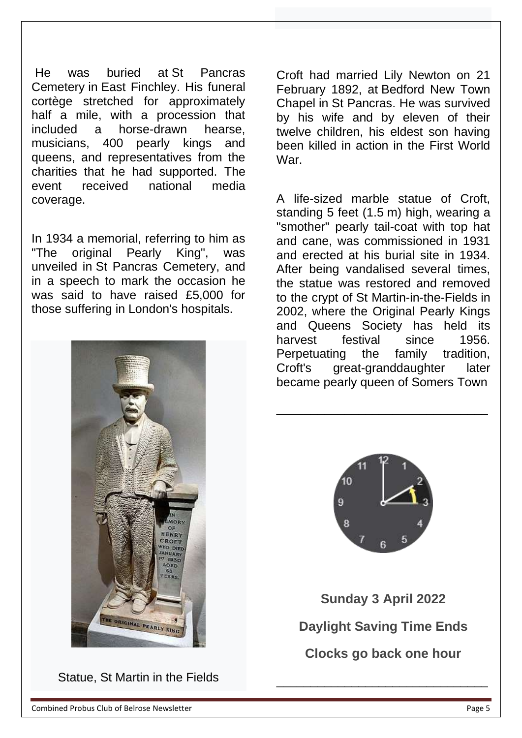He was buried at [St Pancras](https://en.wikipedia.org/wiki/St_Pancras_Cemetery)  [Cemetery](https://en.wikipedia.org/wiki/St_Pancras_Cemetery) in [East Finchley.](https://en.wikipedia.org/wiki/East_Finchley) His funeral cortège stretched for approximately half a mile, with a procession that included a horse-drawn hearse, musicians, 400 pearly kings and queens, and representatives from the charities that he had supported. The event received national media coverage.

In 1934 a memorial, referring to him as "The original Pearly King", was unveiled in [St Pancras Cemetery,](https://en.wikipedia.org/wiki/St._Pancras_and_Islington_Cemetery) and in a speech to mark the occasion he was said to have raised £5,000 for those suffering in London's hospitals.



Statue, St Martin in the Fields

Croft had married Lily Newton on 21 February 1892, at [Bedford New Town](https://en.wikipedia.org/w/index.php?title=Bedford_New_Town_Chapel&action=edit&redlink=1)  [Chapel](https://en.wikipedia.org/w/index.php?title=Bedford_New_Town_Chapel&action=edit&redlink=1) in [St Pancras.](https://en.wikipedia.org/wiki/St_Pancras,_London) He was survived by his wife and by eleven of their twelve children, his eldest son having been killed in action in the First World War.

A life-sized marble statue of Croft, standing 5 feet (1.5 m) high, wearing a "smother" pearly tail-coat with top hat and cane, was commissioned in 1931 and erected at his burial site in 1934. After being vandalised several times, the statue was restored and removed to the crypt of [St Martin-in-the-Fields](https://en.wikipedia.org/wiki/St_Martin-in-the-Fields) in 2002, where the Original Pearly Kings and Queens Society has held its harvest festival since 1956. Perpetuating the family tradition, Croft's great-granddaughter later became pearly queen of Somers Town



\_\_\_\_\_\_\_\_\_\_\_\_\_\_\_\_\_\_\_\_\_\_\_\_\_\_\_\_\_\_\_

**Sunday 3 April 2022 Daylight Saving Time Ends Clocks go back one hour**

\_\_\_\_\_\_\_\_\_\_\_\_\_\_\_\_\_\_\_\_\_\_\_\_\_\_\_\_\_\_\_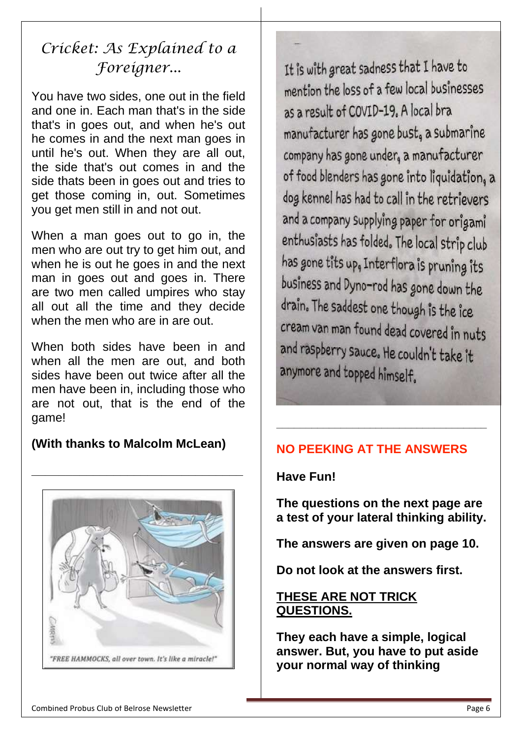# *Cricket: As Explained to a Foreigner...*

You have two sides, one out in the field and one in. Each man that's in the side that's in goes out, and when he's out he comes in and the next man goes in until he's out. When they are all out, the side that's out comes in and the side thats been in goes out and tries to get those coming in, out. Sometimes you get men still in and not out.

When a man goes out to go in, the men who are out try to get him out, and when he is out he goes in and the next man in goes out and goes in. There are two men called umpires who stay all out all the time and they decide when the men who are in are out.

When both sides have been in and when all the men are out, and both sides have been out twice after all the men have been in, including those who are not out, that is the end of the game!

### **(With thanks to Malcolm McLean)**



#### **NO PEEKING AT THE ANSWERS**

**\_\_\_\_\_\_\_\_\_\_\_\_\_\_\_\_\_\_\_\_\_\_\_\_\_\_\_\_\_\_\_\_\_\_\_\_**



**The questions on the next page are a test of your lateral thinking ability.**

**The answers are given on page 10.** 

**Do not look at the answers first.**

#### **THESE ARE NOT TRICK QUESTIONS.**

**They each have a simple, logical answer. But, you have to put aside your normal way of thinking**

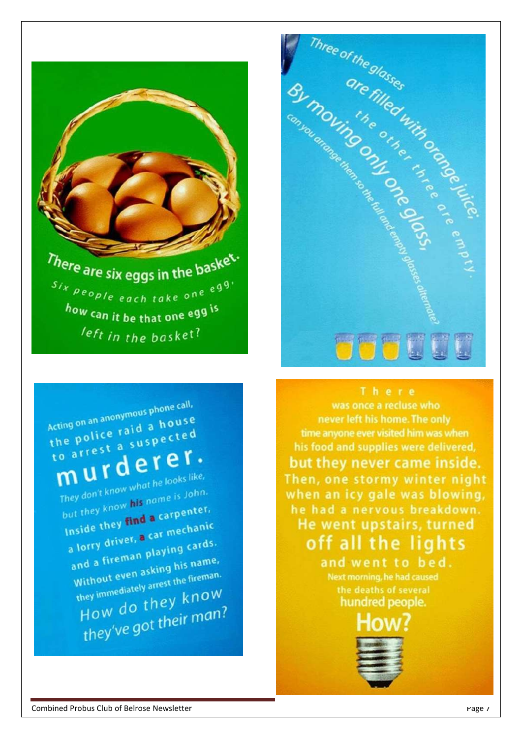Acting on an anonymous phone call, Acting on an anonymous phone<br>the police raid a house the police raid a nouse murderest a substruct . They don't know what he looks like, They don't know what he looks<br>but they know his name is John. but they know his name. Inside they find a carr-<br>a lorry driver, a car mechanic a lorry driver, a car live-<br>and a fireman playing cards. and a fireman playing this name,<br>Without even asking his name, without even asking his name.<br>without even asking his fireman. they immediately arrest the Know How do they ...<br>they've got their man?

There are six eggs in the basket.  $s_{ix}$  people each take one eqq. how can it be that one egg is left in the basket?





was once a recluse who never left his home. The only time anyone ever visited him was when his food and supplies were delivered, but they never came inside. Then, one stormy winter night when an icy gale was blowing, he had a nervous breakdown. He went upstairs, turned off all the lights

> and went to bed. Next morning, he had caused the deaths of several hundred people.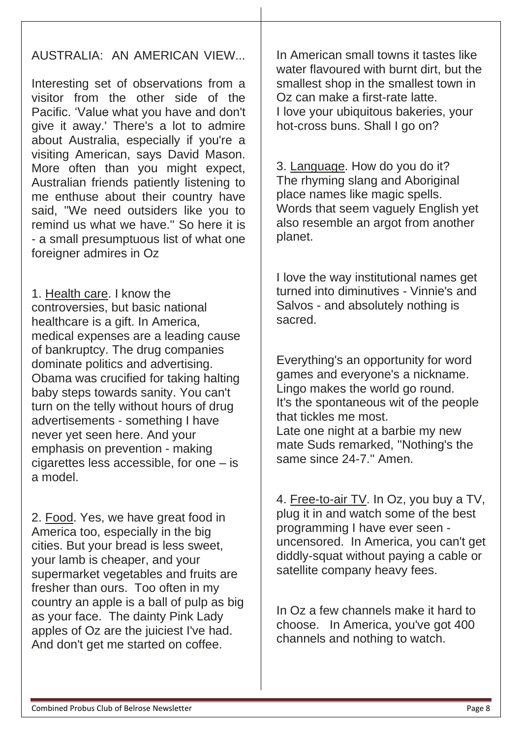#### AUSTRALIA: AN AMERICAN VIEW...

Interesting set of observations from a visitor from the other side of the Pacific. 'Value what you have and don't give it away.' There's a lot to admire about Australia, especially if you're a visiting American, says David Mason. More often than you might expect, Australian friends patiently listening to me enthuse about their country have said, ''We need outsiders like you to remind us what we have.'' So here it is - a small presumptuous list of what one foreigner admires in Oz

1. Health care. I know the controversies, but basic national healthcare is a gift. In America, medical expenses are a leading cause of bankruptcy. The drug companies dominate politics and advertising. Obama was crucified for taking halting baby steps towards sanity. You can't turn on the telly without hours of drug advertisements - something I have never yet seen here. And your emphasis on prevention - making cigarettes less accessible, for one – is a model.

2. Food. Yes, we have great food in America too, especially in the big cities. But your bread is less sweet, your lamb is cheaper, and your supermarket vegetables and fruits are fresher than ours. Too often in my country an apple is a ball of pulp as big as your face. The dainty Pink Lady apples of Oz are the juiciest I've had. And don't get me started on coffee.

In American small towns it tastes like water flavoured with burnt dirt, but the smallest shop in the smallest town in Oz can make a first-rate latte. I love your ubiquitous bakeries, your hot-cross buns. Shall I go on?

3. Language. How do you do it? The rhyming slang and Aboriginal place names like magic spells. Words that seem vaguely English yet also resemble an argot from another planet.

I love the way institutional names get turned into diminutives - Vinnie's and Salvos - and absolutely nothing is sacred.

Everything's an opportunity for word games and everyone's a nickname. Lingo makes the world go round. It's the spontaneous wit of the people that tickles me most. Late one night at a barbie my new mate Suds remarked, ''Nothing's the same since 24-7.'' Amen.

4. Free-to-air TV. In Oz, you buy a TV, plug it in and watch some of the best programming I have ever seen uncensored. In America, you can't get diddly-squat without paying a cable or satellite company heavy fees.

In Oz a few channels make it hard to choose. In America, you've got 400 channels and nothing to watch.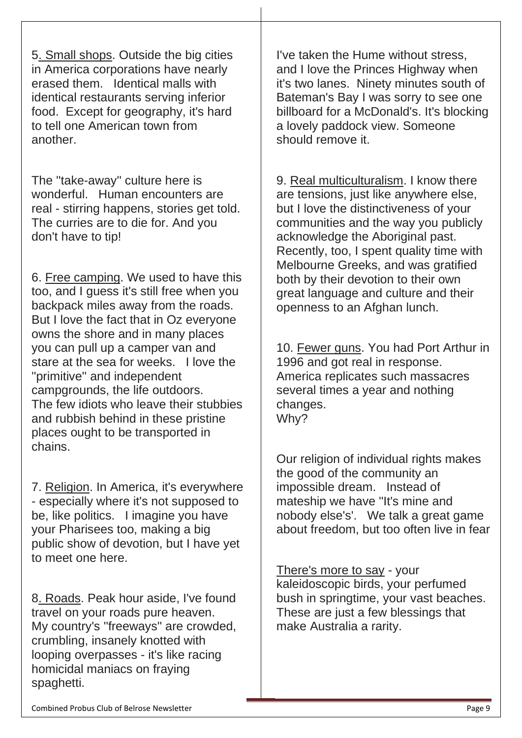5. Small shops. Outside the big cities in America corporations have nearly erased them. Identical malls with identical restaurants serving inferior food. Except for geography, it's hard to tell one American town from another.

The ''take-away'' culture here is wonderful. Human encounters are real - stirring happens, stories get told. The curries are to die for. And you don't have to tip!

6. Free camping. We used to have this too, and I guess it's still free when you backpack miles away from the roads. But I love the fact that in Oz everyone owns the shore and in many places you can pull up a camper van and stare at the sea for weeks. I love the ''primitive'' and independent campgrounds, the life outdoors. The few idiots who leave their stubbies and rubbish behind in these pristine places ought to be transported in chains.

7. Religion. In America, it's everywhere - especially where it's not supposed to be, like politics. I imagine you have your Pharisees too, making a big public show of devotion, but I have yet to meet one here.

8. Roads. Peak hour aside, I've found travel on your roads pure heaven. My country's ''freeways'' are crowded, crumbling, insanely knotted with looping overpasses - it's like racing homicidal maniacs on fraying spaghetti.

I've taken the Hume without stress, and I love the Princes Highway when it's two lanes. Ninety minutes south of Bateman's Bay I was sorry to see one billboard for a McDonald's. It's blocking a lovely paddock view. Someone should remove it.

9. Real multiculturalism. I know there are tensions, just like anywhere else, but I love the distinctiveness of your communities and the way you publicly acknowledge the Aboriginal past. Recently, too, I spent quality time with Melbourne Greeks, and was gratified both by their devotion to their own great language and culture and their openness to an Afghan lunch.

10. Fewer guns. You had Port Arthur in 1996 and got real in response. America replicates such massacres several times a year and nothing changes. Why?

Our religion of individual rights makes the good of the community an impossible dream. Instead of mateship we have ''It's mine and nobody else's'. We talk a great game about freedom, but too often live in fear

There's more to say - your kaleidoscopic birds, your perfumed bush in springtime, your vast beaches. These are just a few blessings that make Australia a rarity.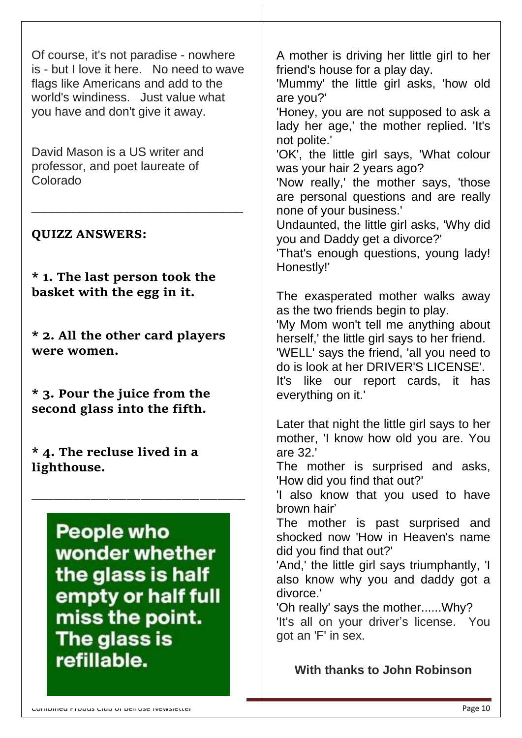Of course, it's not paradise - nowhere is - but I love it here. No need to wave flags like Americans and add to the world's windiness. Just value what you have and don't give it away.

David Mason is a US writer and professor, and poet laureate of Colorado

\_\_\_\_\_\_\_\_\_\_\_\_\_\_\_\_\_\_\_\_\_\_\_\_\_\_\_\_\_\_\_

#### **QUIZZ ANSWERS:**

**\* 1. The last person took the basket with the egg in it.**

**\* 2. All the other card players were women.**

**\* 3. Pour the juice from the second glass into the fifth.**

**\* 4. The recluse lived in a lighthouse.**

> **People who** wonder whether the glass is half empty or half full miss the point. The glass is refillable.

\_\_\_\_\_\_\_\_\_\_\_\_\_\_\_\_\_\_\_\_\_\_\_\_\_\_\_\_\_\_\_\_\_\_\_\_\_\_\_\_\_\_\_\_\_\_\_

A mother is driving her little girl to her friend's house for a play day.

'Mummy' the little girl asks, 'how old are you?'

'Honey, you are not supposed to ask a lady her age,' the mother replied. 'It's not polite.'

'OK', the little girl says, 'What colour was your hair 2 years ago?

'Now really,' the mother says, 'those are personal questions and are really none of your business.'

Undaunted, the little girl asks, 'Why did you and Daddy get a divorce?'

'That's enough questions, young lady! Honestly!'

The exasperated mother walks away as the two friends begin to play.

'My Mom won't tell me anything about herself,' the little girl says to her friend. 'WELL' says the friend, 'all you need to do is look at her DRIVER'S LICENSE'. It's like our report cards, it has

everything on it.'

Later that night the little girl says to her mother, 'I know how old you are. You are 32.'

The mother is surprised and asks, 'How did you find that out?'

'I also know that you used to have brown hair'

The mother is past surprised and shocked now 'How in Heaven's name did you find that out?'

'And,' the little girl says triumphantly, 'I also know why you and daddy got a divorce.'

'Oh really' says the mother......Why? 'It's all on your driver's license. You got an 'F' in sex.

**With thanks to John Robinson**